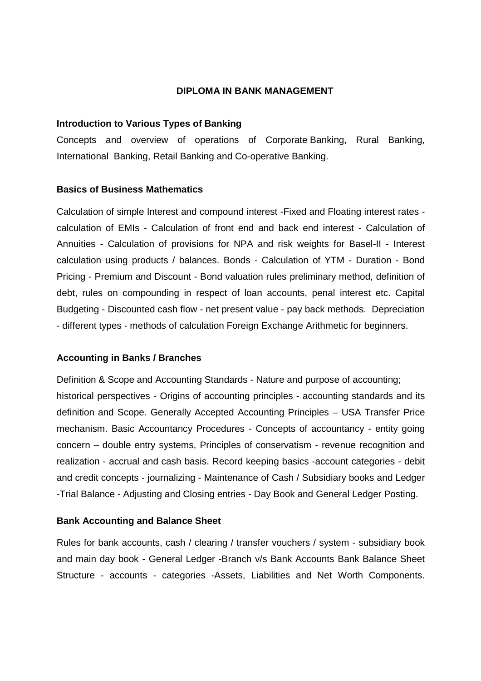### **DIPLOMA IN BANK MANAGEMENT**

#### **Introduction to Various Types of Banking**

Concepts and overview of operations of Corporate Banking, Rural Banking, International Banking, Retail Banking and Co-operative Banking.

### **Basics of Business Mathematics**

Calculation of simple Interest and compound interest -Fixed and Floating interest rates calculation of EMIs - Calculation of front end and back end interest - Calculation of Annuities - Calculation of provisions for NPA and risk weights for Basel-II - Interest calculation using products / balances. Bonds - Calculation of YTM - Duration - Bond Pricing - Premium and Discount - Bond valuation rules preliminary method, definition of debt, rules on compounding in respect of loan accounts, penal interest etc. Capital Budgeting - Discounted cash flow - net present value - pay back methods. Depreciation - different types - methods of calculation Foreign Exchange Arithmetic for beginners.

# **Accounting in Banks / Branches**

Definition & Scope and Accounting Standards - Nature and purpose of accounting; historical perspectives - Origins of accounting principles - accounting standards and its definition and Scope. Generally Accepted Accounting Principles – USA Transfer Price mechanism. Basic Accountancy Procedures - Concepts of accountancy - entity going concern – double entry systems, Principles of conservatism - revenue recognition and realization - accrual and cash basis. Record keeping basics -account categories - debit and credit concepts - journalizing - Maintenance of Cash / Subsidiary books and Ledger -Trial Balance - Adjusting and Closing entries - Day Book and General Ledger Posting.

### **Bank Accounting and Balance Sheet**

Rules for bank accounts, cash / clearing / transfer vouchers / system - subsidiary book and main day book - General Ledger -Branch v/s Bank Accounts Bank Balance Sheet Structure - accounts - categories -Assets, Liabilities and Net Worth Components.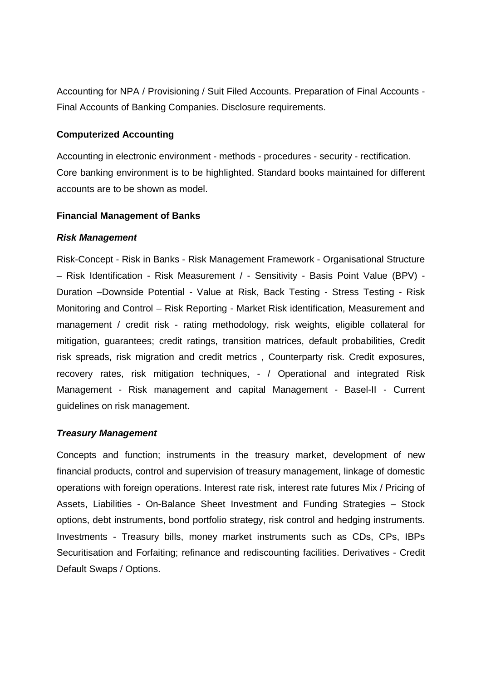Accounting for NPA / Provisioning / Suit Filed Accounts. Preparation of Final Accounts - Final Accounts of Banking Companies. Disclosure requirements.

## **Computerized Accounting**

Accounting in electronic environment - methods - procedures - security - rectification. Core banking environment is to be highlighted. Standard books maintained for different accounts are to be shown as model.

## **Financial Management of Banks**

## **Risk Management**

Risk-Concept - Risk in Banks - Risk Management Framework - Organisational Structure – Risk Identification - Risk Measurement / - Sensitivity - Basis Point Value (BPV) - Duration –Downside Potential - Value at Risk, Back Testing - Stress Testing - Risk Monitoring and Control – Risk Reporting - Market Risk identification, Measurement and management / credit risk - rating methodology, risk weights, eligible collateral for mitigation, guarantees; credit ratings, transition matrices, default probabilities, Credit risk spreads, risk migration and credit metrics , Counterparty risk. Credit exposures, recovery rates, risk mitigation techniques, - / Operational and integrated Risk Management - Risk management and capital Management - Basel-II - Current guidelines on risk management.

# **Treasury Management**

Concepts and function; instruments in the treasury market, development of new financial products, control and supervision of treasury management, linkage of domestic operations with foreign operations. Interest rate risk, interest rate futures Mix / Pricing of Assets, Liabilities - On-Balance Sheet Investment and Funding Strategies – Stock options, debt instruments, bond portfolio strategy, risk control and hedging instruments. Investments - Treasury bills, money market instruments such as CDs, CPs, IBPs Securitisation and Forfaiting; refinance and rediscounting facilities. Derivatives - Credit Default Swaps / Options.